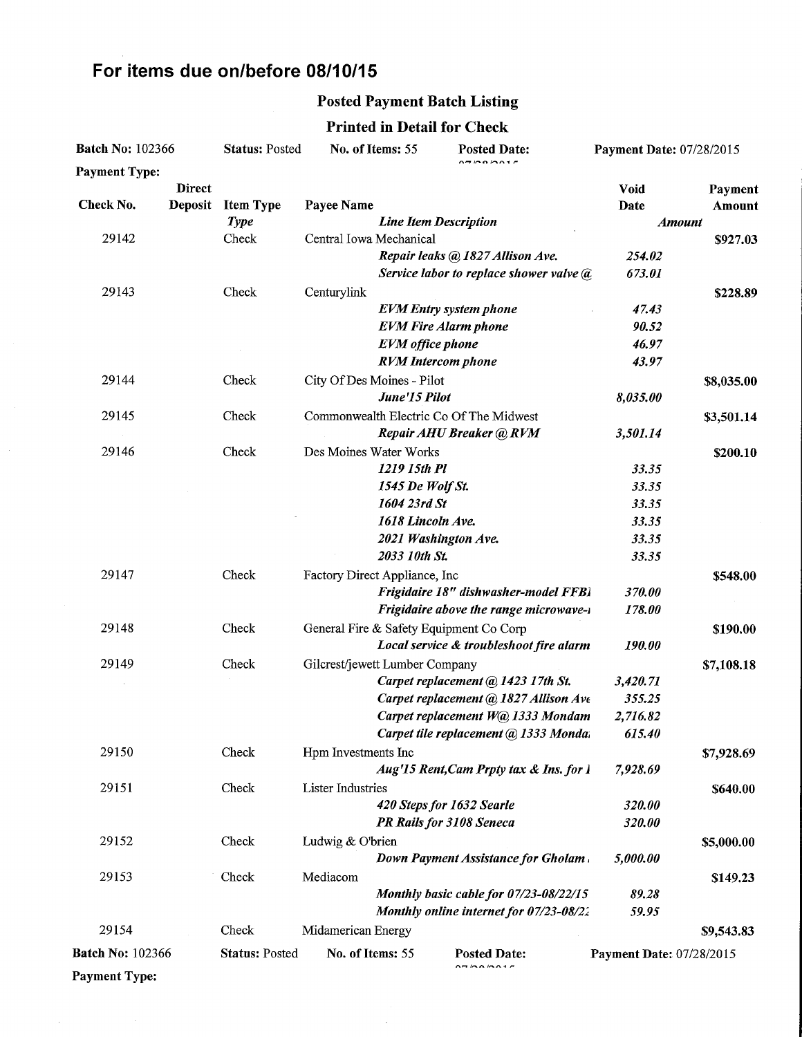# For items due on/before 08/10/15

 $\bar{z}$ 

#### Posted Payment Batch Listing

Printed in Detail for Check

| <b>Batch No: 102366</b> |                | <b>Status: Posted</b> | No. of Items: 55<br><b>Posted Date:</b> |                                | <b>Payment Date: 07/28/2015</b>                                                 |                          |            |
|-------------------------|----------------|-----------------------|-----------------------------------------|--------------------------------|---------------------------------------------------------------------------------|--------------------------|------------|
| <b>Payment Type:</b>    |                |                       |                                         |                                | $\overline{a}$ manar                                                            |                          |            |
|                         | <b>Direct</b>  |                       |                                         |                                |                                                                                 | <b>Void</b>              | Payment    |
| Check No.               | <b>Deposit</b> | <b>Item Type</b>      | Payee Name                              |                                |                                                                                 | Date                     | Amount     |
|                         |                | <b>Type</b>           | <b>Line Item Description</b>            |                                |                                                                                 | <b>Amount</b>            |            |
| 29142                   |                | Check                 |                                         | Central Iowa Mechanical        |                                                                                 | 254.02                   | \$927.03   |
|                         |                |                       |                                         |                                | Repair leaks @ 1827 Allison Ave.<br>Service labor to replace shower valve $(a)$ | 673.01                   |            |
|                         |                |                       |                                         |                                |                                                                                 |                          |            |
| 29143                   |                | Check                 | Centurylink                             |                                | <b>EVM</b> Entry system phone                                                   | 47.43                    | \$228.89   |
|                         |                |                       |                                         |                                | <b>EVM Fire Alarm phone</b>                                                     | 90.52                    |            |
|                         |                |                       |                                         | <b>EVM</b> office phone        |                                                                                 | 46.97                    |            |
|                         |                |                       |                                         | <b>RVM</b> Intercom phone      |                                                                                 | 43.97                    |            |
| 29144                   |                | Check                 |                                         | City Of Des Moines - Pilot     |                                                                                 |                          | \$8,035.00 |
|                         |                |                       |                                         | June'15 Pilot                  |                                                                                 | 8,035.00                 |            |
| 29145                   |                | Check                 |                                         |                                | Commonwealth Electric Co Of The Midwest                                         |                          |            |
|                         |                |                       |                                         |                                | Repair AHU Breaker @ RVM                                                        | 3,501.14                 | \$3,501.14 |
| 29146                   |                | Check                 |                                         | Des Moines Water Works         |                                                                                 |                          | \$200.10   |
|                         |                |                       |                                         | 1219 15th Pl                   |                                                                                 | 33.35                    |            |
|                         |                |                       |                                         | 1545 De Wolf St.               |                                                                                 | 33.35                    |            |
|                         |                |                       |                                         | 1604 23rd St                   |                                                                                 | 33.35                    |            |
|                         |                |                       |                                         | 1618 Lincoln Ave.              |                                                                                 | 33.35                    |            |
|                         |                |                       |                                         | 2021 Washington Ave.           |                                                                                 | 33.35                    |            |
|                         |                |                       |                                         | 2033 10th St.                  |                                                                                 | 33.35                    |            |
| 29147                   |                | Check                 |                                         | Factory Direct Appliance, Inc  |                                                                                 |                          | \$548.00   |
|                         |                |                       |                                         |                                | Frigidaire 18" dishwasher-model FFBI                                            | 370.00                   |            |
|                         |                |                       |                                         |                                | Frigidaire above the range microwave-1                                          | 178.00                   |            |
| 29148                   |                | Check                 |                                         |                                | General Fire & Safety Equipment Co Corp                                         |                          | \$190.00   |
|                         |                |                       |                                         |                                | Local service & troubleshoot fire alarm                                         | 190.00                   |            |
| 29149                   |                | Check                 |                                         | Gilcrest/jewett Lumber Company |                                                                                 |                          | \$7,108.18 |
|                         |                |                       |                                         |                                | Carpet replacement @ 1423 17th St.                                              | 3,420.71                 |            |
|                         |                |                       |                                         |                                | Carpet replacement @ 1827 Allison Ave                                           | 355.25                   |            |
|                         |                |                       |                                         |                                | Carpet replacement W@ 1333 Mondam                                               | 2,716.82                 |            |
|                         |                |                       |                                         |                                | Carpet tile replacement @ 1333 Monda.                                           | 615.40                   |            |
| 29150                   |                | Check                 | Hpm Investments Inc                     |                                |                                                                                 |                          | \$7,928.69 |
|                         |                |                       |                                         |                                | Aug'15 Rent, Cam Prpty tax & Ins. for 1                                         | 7,928.69                 |            |
| 29151                   |                | Check                 | <b>Lister Industries</b>                |                                |                                                                                 |                          | \$640.00   |
|                         |                |                       |                                         |                                | 420 Steps for 1632 Searle                                                       | 320.00                   |            |
|                         |                |                       |                                         |                                | PR Rails for 3108 Seneca                                                        | 320.00                   |            |
| 29152                   |                | Check                 | Ludwig & O'brien                        |                                |                                                                                 |                          | \$5,000.00 |
|                         |                |                       |                                         |                                | Down Payment Assistance for Gholam.                                             | 5,000.00                 |            |
| 29153                   |                | Check                 | Mediacom                                |                                |                                                                                 |                          | \$149.23   |
|                         |                |                       |                                         |                                | Monthly basic cable for 07/23-08/22/15                                          | 89.28                    |            |
|                         |                |                       |                                         |                                | Monthly online internet for 07/23-08/22                                         | 59.95                    |            |
| 29154                   |                | Check                 | Midamerican Energy                      |                                |                                                                                 |                          | \$9,543.83 |
| <b>Batch No: 102366</b> |                | <b>Status: Posted</b> |                                         | No. of Items: 55               | <b>Posted Date:</b>                                                             | Payment Date: 07/28/2015 |            |
| <b>Payment Type:</b>    |                |                       |                                         |                                | A H H A H A H                                                                   |                          |            |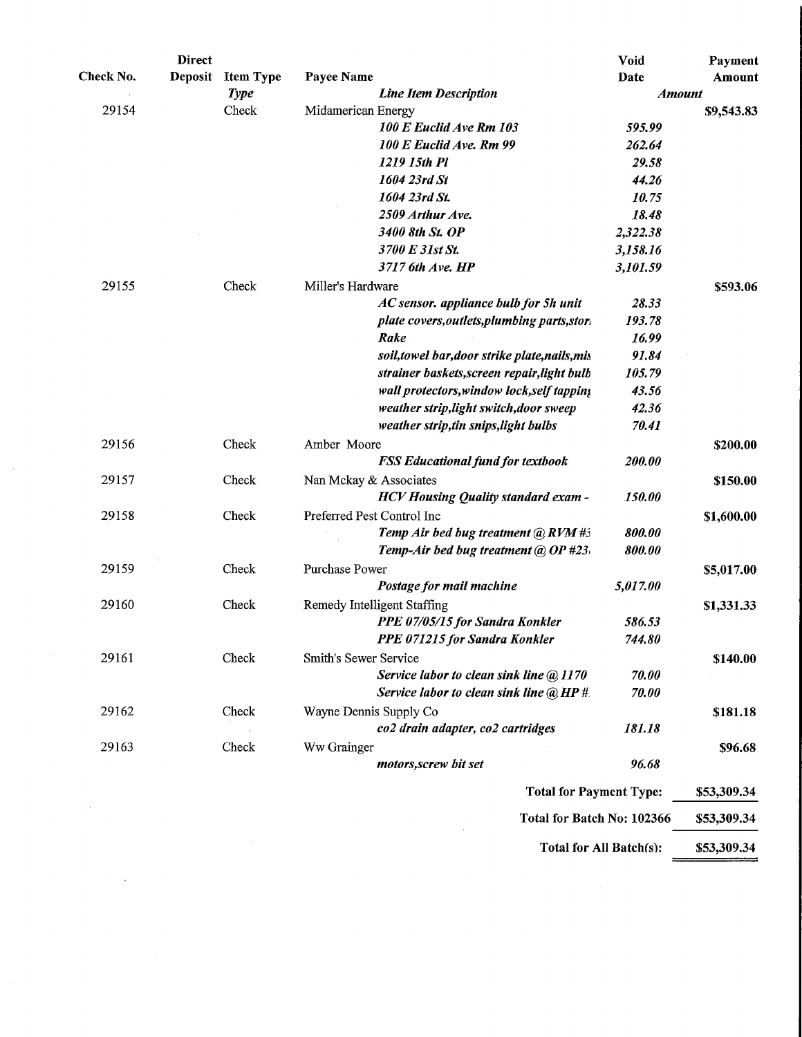| Payment       | Void     |                                                |                  | <b>Direct</b>  |           |
|---------------|----------|------------------------------------------------|------------------|----------------|-----------|
| Amount        | Date     | Payee Name                                     | <b>Item Type</b> | <b>Deposit</b> | Check No. |
| <b>Amount</b> |          | <b>Line Item Description</b>                   | <b>Type</b>      |                |           |
| \$9,543.83    |          | Midamerican Energy                             | Check            |                | 29154     |
|               | 595.99   | 100 E Euclid Ave Rm 103                        |                  |                |           |
|               | 262.64   | 100 E Euclid Ave. Rm 99                        |                  |                |           |
|               | 29.58    | 1219 15th Pl                                   |                  |                |           |
|               | 44.26    | 1604 23rd St                                   |                  |                |           |
|               | 10.75    | 1604 23rd St.                                  |                  |                |           |
|               | 18.48    | 2509 Arthur Ave.                               |                  |                |           |
|               | 2,322.38 | 3400 8th St. OP                                |                  |                |           |
|               | 3,158.16 | 3700 E 31st St.                                |                  |                |           |
|               | 3,101.59 | 3717 6th Ave. HP                               |                  |                |           |
| \$593.06      |          | Miller's Hardware                              | Check            |                | 29155     |
|               | 28.33    | AC sensor. appliance bulb for 5h unit          |                  |                |           |
|               | 193.78   | plate covers, outlets, plumbing parts, stort   |                  |                |           |
|               | 16.99    | Rake                                           |                  |                |           |
|               | 91.84    | soil, towel bar, door strike plate, nails, mis |                  |                |           |
|               | 105.79   | strainer baskets, screen repair, light bulb    |                  |                |           |
|               | 43.56    | wall protectors, window lock, self tapping     |                  |                |           |
|               | 42.36    | weather strip, light switch, door sweep        |                  |                |           |
|               | 70.41    | weather strip, tin snips, light bulbs          |                  |                |           |
| \$200.00      |          | Amber Moore                                    | Check            |                | 29156     |
|               | 200.00   | <b>FSS Educational fund for textbook</b>       |                  |                |           |
| \$150.00      |          | Nan Mckay & Associates                         | Check            |                | 29157     |
|               | 150.00   | <b>HCV Housing Quality standard exam -</b>     |                  |                |           |
| \$1,600.00    |          | Preferred Pest Control Inc                     | Check            |                | 29158     |
|               | 800.00   | Temp Air bed bug treatment @ RVM #5            |                  |                |           |
|               | 800.00   | Temp-Air bed bug treatment @ OP #23.           |                  |                |           |
| \$5,017.00    |          | <b>Purchase Power</b>                          | Check            |                | 29159     |
|               | 5,017.00 | Postage for mail machine                       |                  |                |           |
|               |          |                                                |                  |                |           |
| \$1,331.33    | 586.53   | Remedy Intelligent Staffing                    | Check            |                | 29160     |
|               |          | PPE 07/05/15 for Sandra Konkler                |                  |                |           |
|               | 744.80   | PPE 071215 for Sandra Konkler                  |                  |                |           |
| \$140.00      |          | Smith's Sewer Service                          | Check            |                | 29161     |
|               | 70.00    | Service labor to clean sink line @ 1170        |                  |                |           |
|               | 70.00    | Service labor to clean sink line $@$ HP #      |                  |                |           |
| \$181.18      |          | Wayne Dennis Supply Co                         | Check            |                | 29162     |
|               | 181.18   | co2 drain adapter, co2 cartridges              |                  |                |           |
| \$96.68       |          | Ww Grainger                                    | Check            |                | 29163     |
|               | 96.68    | motors, screw bit set                          |                  |                |           |
| \$53,309.34   |          | <b>Total for Payment Type:</b>                 |                  |                |           |
|               |          |                                                |                  |                |           |
| \$53,309.34   |          | Total for Batch No: 102366                     |                  |                |           |
|               |          |                                                |                  |                |           |

 $\sim 10^{-1}$ 

 $\sim 10^{-10}$ 

 $\sim$ 

Total for All Batch $(s)$ : \$53,309.34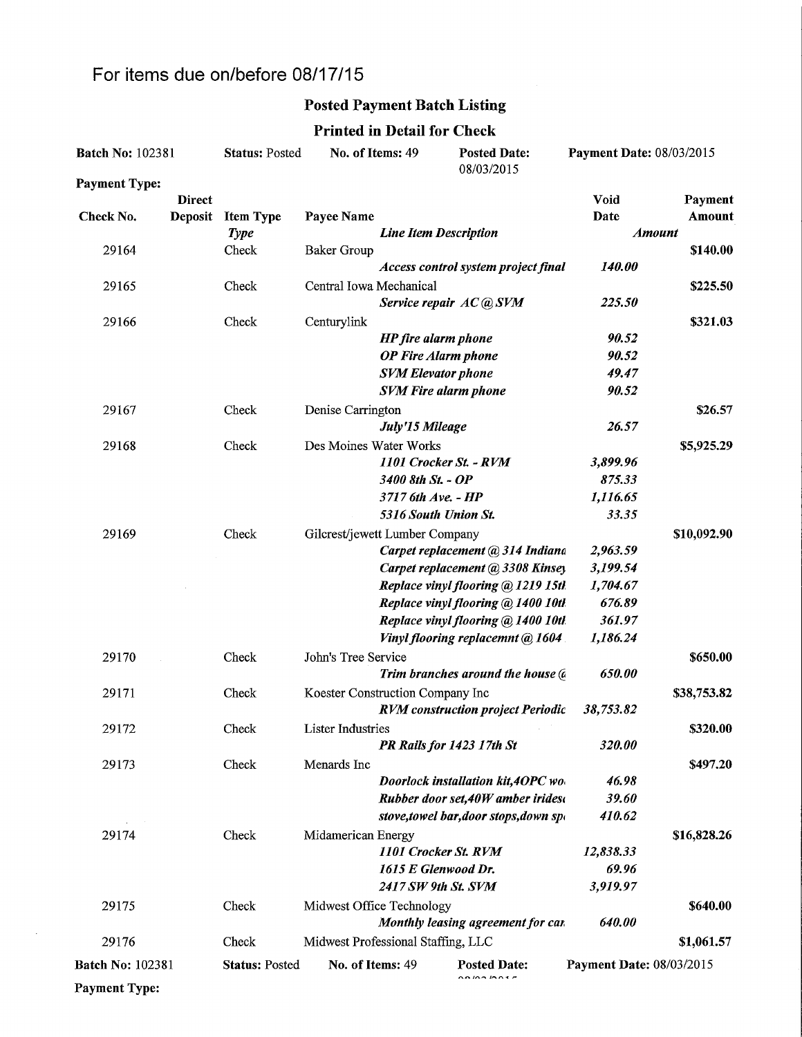## For items due on/before 08/17/15

 $\mathcal{L}^{\mathcal{L}}$ 

## Posted Payment Batch Listing

#### Printed in Detail for Check

| <b>Batch No: 102381</b> |               | <b>Status: Posted</b> | No. of Items: 49<br><b>Posted Date:</b><br>08/03/2015 |                              |                                          | Payment Date: 08/03/2015 |               |
|-------------------------|---------------|-----------------------|-------------------------------------------------------|------------------------------|------------------------------------------|--------------------------|---------------|
| <b>Payment Type:</b>    |               |                       |                                                       |                              |                                          |                          |               |
|                         | <b>Direct</b> |                       |                                                       |                              |                                          | Void                     | Payment       |
| Check No.               | Deposit       | <b>Item Type</b>      | Payee Name                                            |                              |                                          | Date                     | Amount        |
|                         |               | <b>Type</b>           |                                                       | <b>Line Item Description</b> |                                          |                          | <b>Amount</b> |
| 29164                   |               | Check                 | <b>Baker Group</b>                                    |                              |                                          |                          | \$140.00      |
|                         |               |                       |                                                       |                              | Access control system project final      | 140.00                   |               |
| 29165                   |               | Check                 | Central Iowa Mechanical                               |                              |                                          |                          | \$225.50      |
|                         |               |                       |                                                       |                              | Service repair AC @ SVM                  | 225.50                   |               |
| 29166                   |               | Check                 | Centurylink                                           |                              |                                          |                          | \$321.03      |
|                         |               |                       |                                                       | <b>HP</b> fire alarm phone   |                                          | 90.52                    |               |
|                         |               |                       |                                                       | <b>OP</b> Fire Alarm phone   |                                          | 90.52<br>49.47           |               |
|                         |               |                       |                                                       | <b>SVM Elevator phone</b>    |                                          | 90.52                    |               |
|                         |               |                       |                                                       |                              | <b>SVM Fire alarm phone</b>              |                          |               |
| 29167                   |               | Check                 | Denise Carrington                                     | July'15 Mileage              |                                          | 26.57                    | \$26.57       |
|                         |               | Check                 | Des Moines Water Works                                |                              |                                          |                          |               |
| 29168                   |               |                       |                                                       |                              | 1101 Crocker St. - RVM                   | 3,899.96                 | \$5,925.29    |
|                         |               |                       |                                                       | 3400 8th St. - OP            |                                          | 875.33                   |               |
|                         |               |                       |                                                       | 3717 6th Ave. - HP           |                                          | 1,116.65                 |               |
|                         |               |                       |                                                       | 5316 South Union St.         |                                          | 33.35                    |               |
| 29169                   |               | Check                 | Gilcrest/jewett Lumber Company                        |                              |                                          |                          | \$10,092.90   |
|                         |               |                       |                                                       |                              | Carpet replacement @ 314 Indiana         | 2,963.59                 |               |
|                         |               |                       |                                                       |                              | Carpet replacement @ 3308 Kinsey         | 3,199.54                 |               |
|                         |               |                       |                                                       |                              | Replace vinyl flooring @ 1219 15th       | 1,704.67                 |               |
|                         |               |                       |                                                       |                              | Replace vinyl flooring @ 1400 10th       | 676.89                   |               |
|                         |               |                       |                                                       |                              | Replace vinyl flooring @ 1400 10tl.      | 361.97                   |               |
|                         |               |                       |                                                       |                              | Vinyl flooring replacemnt @ 1604         | 1,186.24                 |               |
| 29170                   |               | Check                 | John's Tree Service                                   |                              |                                          |                          | \$650.00      |
|                         |               |                       |                                                       |                              | Trim branches around the house (a        | 650.00                   |               |
| 29171                   |               | Check                 | Koester Construction Company Inc                      |                              |                                          |                          | \$38,753.82   |
|                         |               |                       |                                                       |                              | <b>RVM</b> construction project Periodic | 38,753.82                |               |
| 29172                   |               | Check                 | <b>Lister Industries</b>                              |                              |                                          |                          | \$320.00      |
|                         |               |                       |                                                       |                              | PR Rails for 1423 17th St                | 320.00                   |               |
| 29173                   |               | Check                 | Menards Inc                                           |                              |                                          |                          | \$497.20      |
|                         |               |                       |                                                       |                              | Doorlock installation kit, 4OPC wo.      | 46.98                    |               |
|                         |               |                       |                                                       |                              | Rubber door set, 40W amber irides        | 39.60                    |               |
|                         |               |                       |                                                       |                              | stove, towel bar, door stops, down spon  | 410.62                   |               |
| 29174                   |               | Check                 | Midamerican Energy                                    |                              |                                          |                          | \$16,828.26   |
|                         |               |                       |                                                       |                              | 1101 Crocker St. RVM                     | 12,838.33                |               |
|                         |               |                       |                                                       | 1615 E Glenwood Dr.          |                                          | 69.96                    |               |
|                         |               |                       |                                                       | 2417 SW 9th St. SVM          |                                          | 3,919.97                 |               |
| 29175                   |               | Check                 | Midwest Office Technology                             |                              |                                          |                          | \$640.00      |
|                         |               |                       |                                                       |                              | Monthly leasing agreement for car        | 640.00                   |               |
| 29176                   |               | Check                 | Midwest Professional Staffing, LLC                    |                              |                                          |                          | \$1,061.57    |
| <b>Batch No: 102381</b> |               | <b>Status: Posted</b> | No. of Items: 49                                      |                              | <b>Posted Date:</b><br>0.000000000       | Payment Date: 08/03/2015 |               |
| <b>Payment Type:</b>    |               |                       |                                                       |                              |                                          |                          |               |